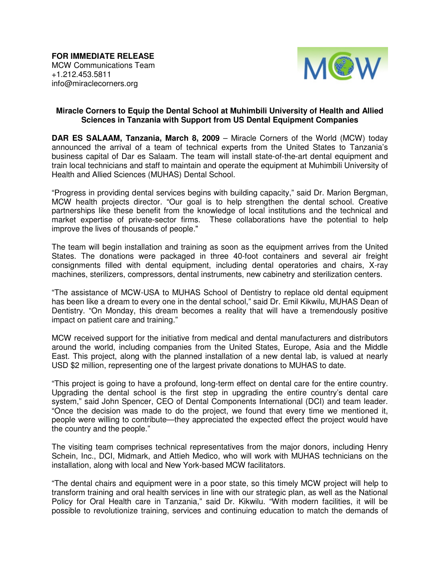**FOR IMMEDIATE RELEASE**  MCW Communications Team +1.212.453.5811 info@miraclecorners.org



## **Miracle Corners to Equip the Dental School at Muhimbili University of Health and Allied Sciences in Tanzania with Support from US Dental Equipment Companies**

**DAR ES SALAAM, Tanzania, March 8, 2009** – Miracle Corners of the World (MCW) today announced the arrival of a team of technical experts from the United States to Tanzania's business capital of Dar es Salaam. The team will install state-of-the-art dental equipment and train local technicians and staff to maintain and operate the equipment at Muhimbili University of Health and Allied Sciences (MUHAS) Dental School.

"Progress in providing dental services begins with building capacity," said Dr. Marion Bergman, MCW health projects director. "Our goal is to help strengthen the dental school. Creative partnerships like these benefit from the knowledge of local institutions and the technical and market expertise of private-sector firms. These collaborations have the potential to help improve the lives of thousands of people."

The team will begin installation and training as soon as the equipment arrives from the United States. The donations were packaged in three 40-foot containers and several air freight consignments filled with dental equipment, including dental operatories and chairs, X-ray machines, sterilizers, compressors, dental instruments, new cabinetry and sterilization centers.

"The assistance of MCW-USA to MUHAS School of Dentistry to replace old dental equipment has been like a dream to every one in the dental school," said Dr. Emil Kikwilu, MUHAS Dean of Dentistry. "On Monday, this dream becomes a reality that will have a tremendously positive impact on patient care and training."

MCW received support for the initiative from medical and dental manufacturers and distributors around the world, including companies from the United States, Europe, Asia and the Middle East. This project, along with the planned installation of a new dental lab, is valued at nearly USD \$2 million, representing one of the largest private donations to MUHAS to date.

"This project is going to have a profound, long-term effect on dental care for the entire country. Upgrading the dental school is the first step in upgrading the entire country's dental care system," said John Spencer, CEO of Dental Components International (DCI) and team leader. "Once the decision was made to do the project, we found that every time we mentioned it, people were willing to contribute—they appreciated the expected effect the project would have the country and the people."

The visiting team comprises technical representatives from the major donors, including Henry Schein, Inc., DCI, Midmark, and Attieh Medico, who will work with MUHAS technicians on the installation, along with local and New York-based MCW facilitators.

"The dental chairs and equipment were in a poor state, so this timely MCW project will help to transform training and oral health services in line with our strategic plan, as well as the National Policy for Oral Health care in Tanzania," said Dr. Kikwilu. "With modern facilities, it will be possible to revolutionize training, services and continuing education to match the demands of